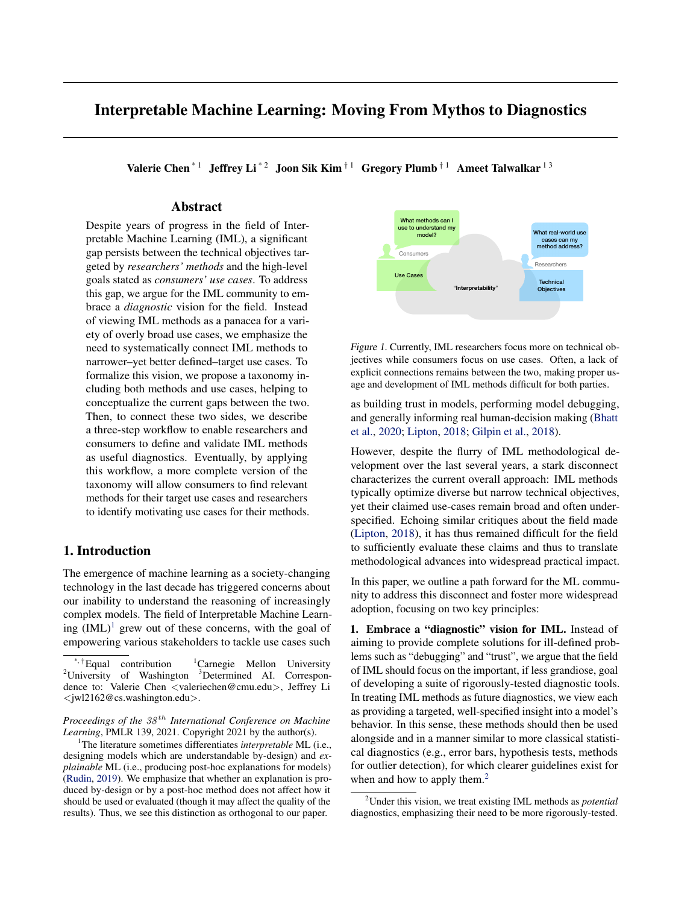# Interpretable Machine Learning: Moving From Mythos to Diagnostics

Valerie Chen<sup>\*1</sup> Jeffrey Li<sup>\*2</sup> Joon Sik Kim<sup>†1</sup> Gregory Plumb<sup>†1</sup> Ameet Talwalkar<sup>13</sup>

### Abstract

Despite years of progress in the field of Interpretable Machine Learning (IML), a significant gap persists between the technical objectives targeted by *researchers' methods* and the high-level goals stated as *consumers' use cases*. To address this gap, we argue for the IML community to embrace a *diagnostic* vision for the field. Instead of viewing IML methods as a panacea for a variety of overly broad use cases, we emphasize the need to systematically connect IML methods to narrower–yet better defined–target use cases. To formalize this vision, we propose a taxonomy including both methods and use cases, helping to conceptualize the current gaps between the two. Then, to connect these two sides, we describe a three-step workflow to enable researchers and consumers to define and validate IML methods as useful diagnostics. Eventually, by applying this workflow, a more complete version of the taxonomy will allow consumers to find relevant methods for their target use cases and researchers to identify motivating use cases for their methods.

### 1. Introduction

The emergence of machine learning as a society-changing technology in the last decade has triggered concerns about our inability to understand the reasoning of increasingly complex models. The field of Interpretable Machine Learning  $(IML)^1$  grew out of these concerns, with the goal of empowering various stakeholders to tackle use cases such



Figure 1. Currently, IML researchers focus more on technical objectives while consumers focus on use cases. Often, a lack of explicit connections remains between the two, making proper usage and development of IML methods difficult for both parties.

as building trust in models, performing model debugging, and generally informing real human-decision making [\(Bhatt](#page-8-0) [et al.,](#page-8-0) [2020;](#page-8-0) [Lipton,](#page-9-0) [2018;](#page-9-0) [Gilpin et al.,](#page-8-0) [2018\)](#page-8-0).

However, despite the flurry of IML methodological development over the last several years, a stark disconnect characterizes the current overall approach: IML methods typically optimize diverse but narrow technical objectives, yet their claimed use-cases remain broad and often underspecified. Echoing similar critiques about the field made [\(Lipton,](#page-9-0) [2018\)](#page-9-0), it has thus remained difficult for the field to sufficiently evaluate these claims and thus to translate methodological advances into widespread practical impact.

In this paper, we outline a path forward for the ML community to address this disconnect and foster more widespread adoption, focusing on two key principles:

1. Embrace a "diagnostic" vision for IML. Instead of aiming to provide complete solutions for ill-defined problems such as "debugging" and "trust", we argue that the field of IML should focus on the important, if less grandiose, goal of developing a suite of rigorously-tested diagnostic tools. In treating IML methods as future diagnostics, we view each as providing a targeted, well-specified insight into a model's behavior. In this sense, these methods should then be used alongside and in a manner similar to more classical statistical diagnostics (e.g., error bars, hypothesis tests, methods for outlier detection), for which clearer guidelines exist for when and how to apply them.<sup>2</sup>

<sup>\*,</sup>  $\dagger$ Equal contribution  $\ddagger$ Carnegie Mellon University <sup>2</sup>University of Washington <sup>3</sup>Determined AI. Correspondence to: Valerie Chen <valeriechen@cmu.edu>, Jeffrey Li <jwl2162@cs.washington.edu>.

*Proceedings of the*  $38<sup>th</sup>$  *International Conference on Machine Learning*, PMLR 139, 2021. Copyright 2021 by the author(s).

<sup>1</sup>The literature sometimes differentiates *interpretable* ML (i.e., designing models which are understandable by-design) and *explainable* ML (i.e., producing post-hoc explanations for models) [\(Rudin,](#page-9-0) [2019\)](#page-9-0). We emphasize that whether an explanation is produced by-design or by a post-hoc method does not affect how it should be used or evaluated (though it may affect the quality of the results). Thus, we see this distinction as orthogonal to our paper.

<sup>2</sup>Under this vision, we treat existing IML methods as *potential* diagnostics, emphasizing their need to be more rigorously-tested.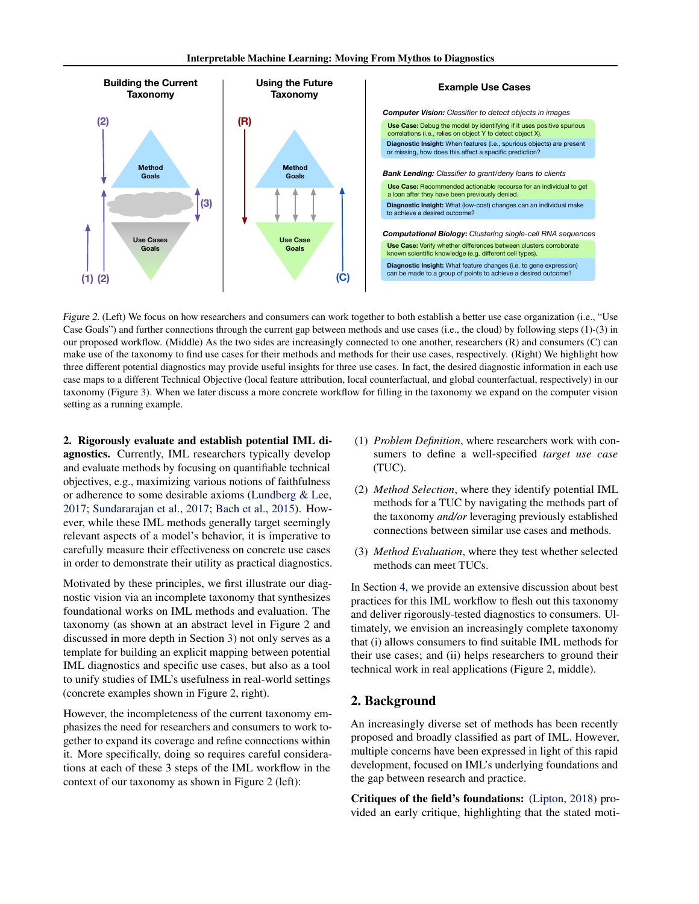<span id="page-1-0"></span>

Figure 2. (Left) We focus on how researchers and consumers can work together to both establish a better use case organization (i.e., "Use Case Goals") and further connections through the current gap between methods and use cases (i.e., the cloud) by following steps (1)-(3) in our proposed workflow. (Middle) As the two sides are increasingly connected to one another, researchers (R) and consumers (C) can make use of the taxonomy to find use cases for their methods and methods for their use cases, respectively. (Right) We highlight how three different potential diagnostics may provide useful insights for three use cases. In fact, the desired diagnostic information in each use case maps to a different Technical Objective (local feature attribution, local counterfactual, and global counterfactual, respectively) in our taxonomy (Figure [3\)](#page-3-0). When we later discuss a more concrete workflow for filling in the taxonomy we expand on the computer vision setting as a running example.

2. Rigorously evaluate and establish potential IML diagnostics. Currently, IML researchers typically develop and evaluate methods by focusing on quantifiable technical objectives, e.g., maximizing various notions of faithfulness or adherence to some desirable axioms [\(Lundberg & Lee,](#page-9-0) [2017;](#page-9-0) [Sundararajan et al.,](#page-10-0) [2017;](#page-10-0) [Bach et al.,](#page-8-0) [2015\)](#page-8-0). However, while these IML methods generally target seemingly relevant aspects of a model's behavior, it is imperative to carefully measure their effectiveness on concrete use cases in order to demonstrate their utility as practical diagnostics.

Motivated by these principles, we first illustrate our diagnostic vision via an incomplete taxonomy that synthesizes foundational works on IML methods and evaluation. The taxonomy (as shown at an abstract level in Figure 2 and discussed in more depth in Section [3\)](#page-2-0) not only serves as a template for building an explicit mapping between potential IML diagnostics and specific use cases, but also as a tool to unify studies of IML's usefulness in real-world settings (concrete examples shown in Figure 2, right).

However, the incompleteness of the current taxonomy emphasizes the need for researchers and consumers to work together to expand its coverage and refine connections within it. More specifically, doing so requires careful considerations at each of these 3 steps of the IML workflow in the context of our taxonomy as shown in Figure 2 (left):

- (1) *Problem Definition*, where researchers work with consumers to define a well-specified *target use case* (TUC).
- (2) *Method Selection*, where they identify potential IML methods for a TUC by navigating the methods part of the taxonomy *and/or* leveraging previously established connections between similar use cases and methods.
- (3) *Method Evaluation*, where they test whether selected methods can meet TUCs.

In Section [4,](#page-4-0) we provide an extensive discussion about best practices for this IML workflow to flesh out this taxonomy and deliver rigorously-tested diagnostics to consumers. Ultimately, we envision an increasingly complete taxonomy that (i) allows consumers to find suitable IML methods for their use cases; and (ii) helps researchers to ground their technical work in real applications (Figure 2, middle).

### 2. Background

An increasingly diverse set of methods has been recently proposed and broadly classified as part of IML. However, multiple concerns have been expressed in light of this rapid development, focused on IML's underlying foundations and the gap between research and practice.

Critiques of the field's foundations: [\(Lipton,](#page-9-0) [2018\)](#page-9-0) provided an early critique, highlighting that the stated moti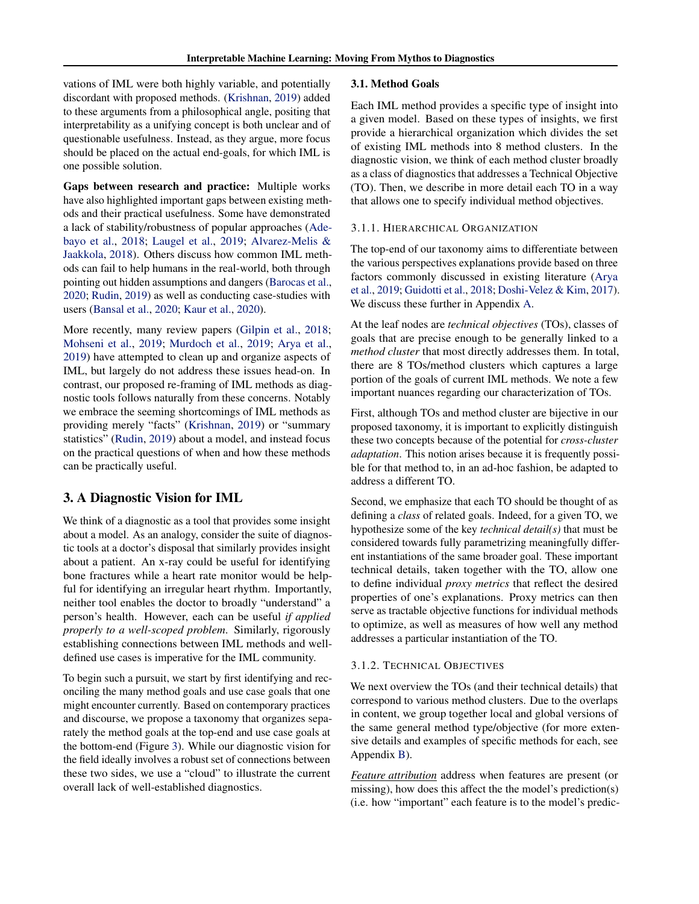<span id="page-2-0"></span>vations of IML were both highly variable, and potentially discordant with proposed methods. [\(Krishnan,](#page-9-0) [2019\)](#page-9-0) added to these arguments from a philosophical angle, positing that interpretability as a unifying concept is both unclear and of questionable usefulness. Instead, as they argue, more focus should be placed on the actual end-goals, for which IML is one possible solution.

Gaps between research and practice: Multiple works have also highlighted important gaps between existing methods and their practical usefulness. Some have demonstrated a lack of stability/robustness of popular approaches [\(Ade](#page-8-0)[bayo et al.,](#page-8-0) [2018;](#page-8-0) [Laugel et al.,](#page-9-0) [2019;](#page-9-0) [Alvarez-Melis &](#page-8-0) [Jaakkola,](#page-8-0) [2018\)](#page-8-0). Others discuss how common IML methods can fail to help humans in the real-world, both through pointing out hidden assumptions and dangers [\(Barocas et al.,](#page-8-0) [2020;](#page-8-0) [Rudin,](#page-9-0) [2019\)](#page-9-0) as well as conducting case-studies with users [\(Bansal et al.,](#page-8-0) [2020;](#page-8-0) [Kaur et al.,](#page-9-0) [2020\)](#page-9-0).

More recently, many review papers [\(Gilpin et al.,](#page-8-0) [2018;](#page-8-0) [Mohseni et al.,](#page-9-0) [2019;](#page-9-0) [Murdoch et al.,](#page-9-0) [2019;](#page-9-0) [Arya et al.,](#page-8-0) [2019\)](#page-8-0) have attempted to clean up and organize aspects of IML, but largely do not address these issues head-on. In contrast, our proposed re-framing of IML methods as diagnostic tools follows naturally from these concerns. Notably we embrace the seeming shortcomings of IML methods as providing merely "facts" [\(Krishnan,](#page-9-0) [2019\)](#page-9-0) or "summary statistics" [\(Rudin,](#page-9-0) [2019\)](#page-9-0) about a model, and instead focus on the practical questions of when and how these methods can be practically useful.

## 3. A Diagnostic Vision for IML

We think of a diagnostic as a tool that provides some insight about a model. As an analogy, consider the suite of diagnostic tools at a doctor's disposal that similarly provides insight about a patient. An x-ray could be useful for identifying bone fractures while a heart rate monitor would be helpful for identifying an irregular heart rhythm. Importantly, neither tool enables the doctor to broadly "understand" a person's health. However, each can be useful *if applied properly to a well-scoped problem*. Similarly, rigorously establishing connections between IML methods and welldefined use cases is imperative for the IML community.

To begin such a pursuit, we start by first identifying and reconciling the many method goals and use case goals that one might encounter currently. Based on contemporary practices and discourse, we propose a taxonomy that organizes separately the method goals at the top-end and use case goals at the bottom-end (Figure [3\)](#page-3-0). While our diagnostic vision for the field ideally involves a robust set of connections between these two sides, we use a "cloud" to illustrate the current overall lack of well-established diagnostics.

### 3.1. Method Goals

Each IML method provides a specific type of insight into a given model. Based on these types of insights, we first provide a hierarchical organization which divides the set of existing IML methods into 8 method clusters. In the diagnostic vision, we think of each method cluster broadly as a class of diagnostics that addresses a Technical Objective (TO). Then, we describe in more detail each TO in a way that allows one to specify individual method objectives.

#### 3.1.1. HIERARCHICAL ORGANIZATION

The top-end of our taxonomy aims to differentiate between the various perspectives explanations provide based on three factors commonly discussed in existing literature [\(Arya](#page-8-0) [et al.,](#page-8-0) [2019;](#page-8-0) [Guidotti et al.,](#page-8-0) [2018;](#page-8-0) [Doshi-Velez & Kim,](#page-8-0) [2017\)](#page-8-0). We discuss these further in Appendix [A.](#page-11-0)

At the leaf nodes are *technical objectives* (TOs), classes of goals that are precise enough to be generally linked to a *method cluster* that most directly addresses them. In total, there are 8 TOs/method clusters which captures a large portion of the goals of current IML methods. We note a few important nuances regarding our characterization of TOs.

First, although TOs and method cluster are bijective in our proposed taxonomy, it is important to explicitly distinguish these two concepts because of the potential for *cross-cluster adaptation*. This notion arises because it is frequently possible for that method to, in an ad-hoc fashion, be adapted to address a different TO.

Second, we emphasize that each TO should be thought of as defining a *class* of related goals. Indeed, for a given TO, we hypothesize some of the key *technical detail(s)* that must be considered towards fully parametrizing meaningfully different instantiations of the same broader goal. These important technical details, taken together with the TO, allow one to define individual *proxy metrics* that reflect the desired properties of one's explanations. Proxy metrics can then serve as tractable objective functions for individual methods to optimize, as well as measures of how well any method addresses a particular instantiation of the TO.

### 3.1.2. TECHNICAL OBJECTIVES

We next overview the TOs (and their technical details) that correspond to various method clusters. Due to the overlaps in content, we group together local and global versions of the same general method type/objective (for more extensive details and examples of specific methods for each, see Appendix [B\)](#page-11-0).

*Feature attribution* address when features are present (or missing), how does this affect the the model's prediction(s) (i.e. how "important" each feature is to the model's predic-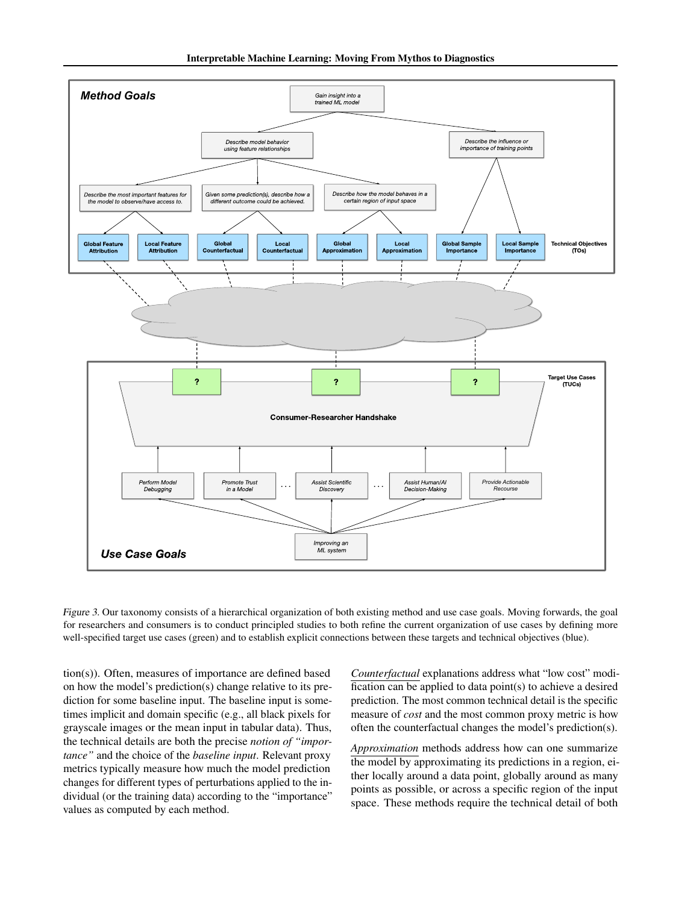<span id="page-3-0"></span>

Figure 3. Our taxonomy consists of a hierarchical organization of both existing method and use case goals. Moving forwards, the goal for researchers and consumers is to conduct principled studies to both refine the current organization of use cases by defining more well-specified target use cases (green) and to establish explicit connections between these targets and technical objectives (blue).

dividual (or the training data) according to the "importance" the technical details are both the precise *notion of "impor*tance" and the choice of the *baseline input*. Relevant proxy tion(s)). Often, measures of importance are defined based on how the model's prediction(s) change relative to its prediction for some baseline input. The baseline input is sometimes implicit and domain specific (e.g., all black pixels for grayscale images or the mean input in tabular data). Thus, metrics typically measure how much the model prediction changes for different types of perturbations applied to the invalues as computed by each method.

*Counterfactual* explanations address what "low cost" modification can be applied to data point(s) to achieve a desired prediction. The most common technical detail is the specific measure of *cost* and the most common proxy metric is how often the counterfactual changes the model's prediction(s).

ortance" **Example 2018** Interest a space. These methods require the technical detail of both *Approximation* methods address how can one summarize the model by approximating its predictions in a region, either locally around a data point, globally around as many points as possible, or across a specific region of the input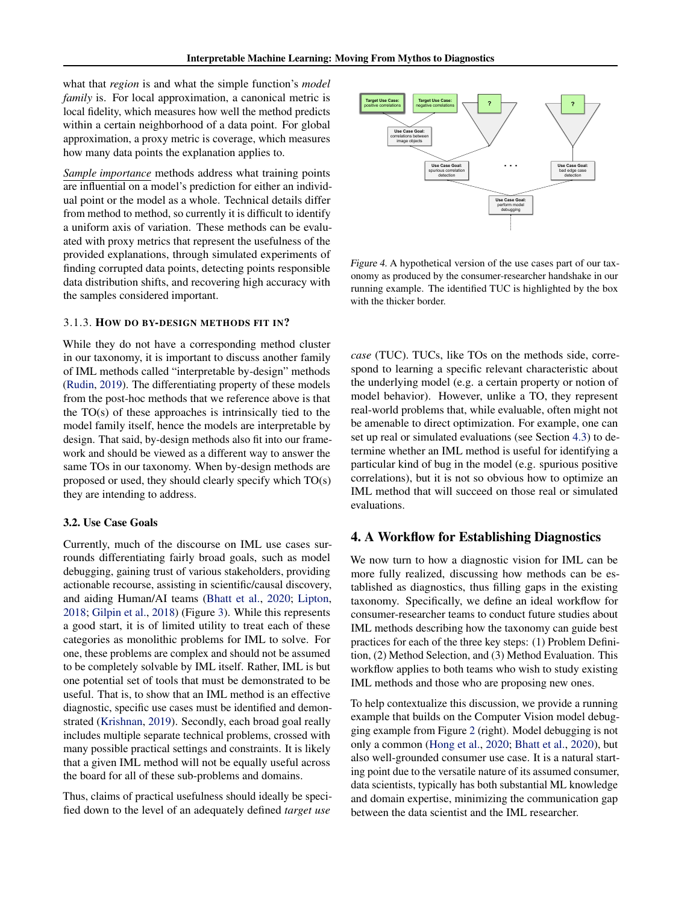<span id="page-4-0"></span>what that *region* is and what the simple function's *model family* is. For local approximation, a canonical metric is local fidelity, which measures how well the method predicts within a certain neighborhood of a data point. For global approximation, a proxy metric is coverage, which measures how many data points the explanation applies to.

*Sample importance* methods address what training points are influential on a model's prediction for either an individual point or the model as a whole. Technical details differ from method to method, so currently it is difficult to identify a uniform axis of variation. These methods can be evaluated with proxy metrics that represent the usefulness of the provided explanations, through simulated experiments of finding corrupted data points, detecting points responsible data distribution shifts, and recovering high accuracy with the samples considered important.

#### 3.1.3. HOW DO BY-DESIGN METHODS FIT IN?

While they do not have a corresponding method cluster in our taxonomy, it is important to discuss another family of IML methods called "interpretable by-design" methods [\(Rudin,](#page-9-0) [2019\)](#page-9-0). The differentiating property of these models from the post-hoc methods that we reference above is that the TO(s) of these approaches is intrinsically tied to the model family itself, hence the models are interpretable by design. That said, by-design methods also fit into our framework and should be viewed as a different way to answer the same TOs in our taxonomy. When by-design methods are proposed or used, they should clearly specify which TO(s) they are intending to address.

#### 3.2. Use Case Goals

Currently, much of the discourse on IML use cases surrounds differentiating fairly broad goals, such as model debugging, gaining trust of various stakeholders, providing actionable recourse, assisting in scientific/causal discovery, and aiding Human/AI teams [\(Bhatt et al.,](#page-8-0) [2020;](#page-8-0) [Lipton,](#page-9-0) [2018;](#page-9-0) [Gilpin et al.,](#page-8-0) [2018\)](#page-8-0) (Figure [3\)](#page-3-0). While this represents a good start, it is of limited utility to treat each of these categories as monolithic problems for IML to solve. For one, these problems are complex and should not be assumed to be completely solvable by IML itself. Rather, IML is but one potential set of tools that must be demonstrated to be useful. That is, to show that an IML method is an effective diagnostic, specific use cases must be identified and demonstrated [\(Krishnan,](#page-9-0) [2019\)](#page-9-0). Secondly, each broad goal really includes multiple separate technical problems, crossed with many possible practical settings and constraints. It is likely that a given IML method will not be equally useful across the board for all of these sub-problems and domains.

Thus, claims of practical usefulness should ideally be specified down to the level of an adequately defined *target use*



Figure 4. A hypothetical version of the use cases part of our taxonomy as produced by the consumer-researcher handshake in our running example. The identified TUC is highlighted by the box with the thicker border.

*case* (TUC). TUCs, like TOs on the methods side, correspond to learning a specific relevant characteristic about the underlying model (e.g. a certain property or notion of model behavior). However, unlike a TO, they represent real-world problems that, while evaluable, often might not be amenable to direct optimization. For example, one can set up real or simulated evaluations (see Section [4.3\)](#page-6-0) to determine whether an IML method is useful for identifying a particular kind of bug in the model (e.g. spurious positive correlations), but it is not so obvious how to optimize an IML method that will succeed on those real or simulated evaluations.

### 4. A Workflow for Establishing Diagnostics

We now turn to how a diagnostic vision for IML can be more fully realized, discussing how methods can be established as diagnostics, thus filling gaps in the existing taxonomy. Specifically, we define an ideal workflow for consumer-researcher teams to conduct future studies about IML methods describing how the taxonomy can guide best practices for each of the three key steps: (1) Problem Definition, (2) Method Selection, and (3) Method Evaluation. This workflow applies to both teams who wish to study existing IML methods and those who are proposing new ones.

To help contextualize this discussion, we provide a running example that builds on the Computer Vision model debugging example from Figure [2](#page-1-0) (right). Model debugging is not only a common [\(Hong et al.,](#page-8-0) [2020;](#page-8-0) [Bhatt et al.,](#page-8-0) [2020\)](#page-8-0), but also well-grounded consumer use case. It is a natural starting point due to the versatile nature of its assumed consumer, data scientists, typically has both substantial ML knowledge and domain expertise, minimizing the communication gap between the data scientist and the IML researcher.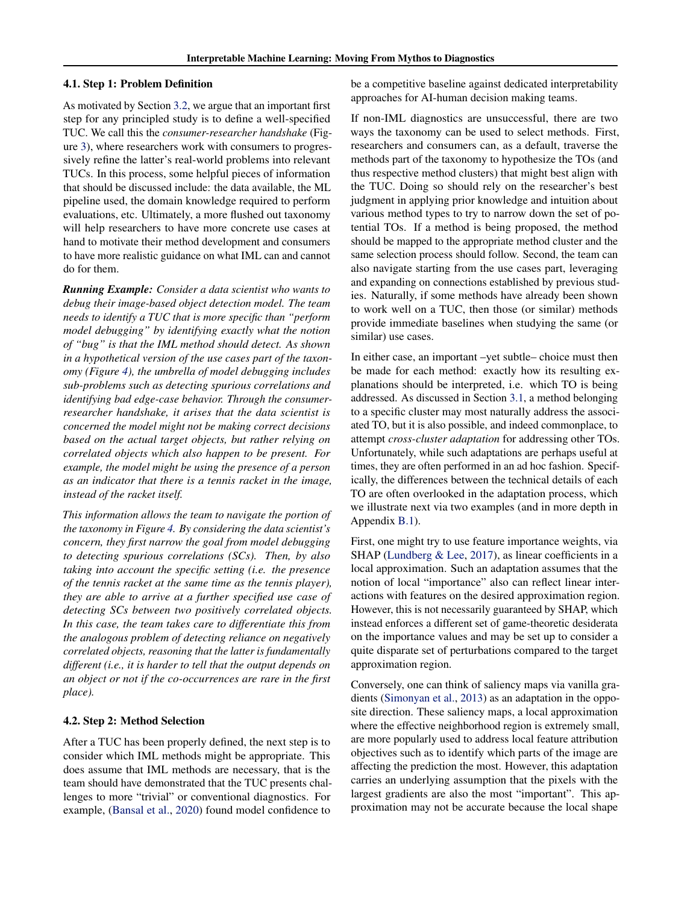#### 4.1. Step 1: Problem Definition

As motivated by Section [3.2,](#page-4-0) we argue that an important first step for any principled study is to define a well-specified TUC. We call this the *consumer-researcher handshake* (Figure [3\)](#page-3-0), where researchers work with consumers to progressively refine the latter's real-world problems into relevant TUCs. In this process, some helpful pieces of information that should be discussed include: the data available, the ML pipeline used, the domain knowledge required to perform evaluations, etc. Ultimately, a more flushed out taxonomy will help researchers to have more concrete use cases at hand to motivate their method development and consumers to have more realistic guidance on what IML can and cannot do for them.

*Running Example: Consider a data scientist who wants to debug their image-based object detection model. The team needs to identify a TUC that is more specific than "perform model debugging" by identifying exactly what the notion of "bug" is that the IML method should detect. As shown in a hypothetical version of the use cases part of the taxonomy (Figure [4\)](#page-4-0), the umbrella of model debugging includes sub-problems such as detecting spurious correlations and identifying bad edge-case behavior. Through the consumerresearcher handshake, it arises that the data scientist is concerned the model might not be making correct decisions based on the actual target objects, but rather relying on correlated objects which also happen to be present. For example, the model might be using the presence of a person as an indicator that there is a tennis racket in the image, instead of the racket itself.*

*This information allows the team to navigate the portion of the taxonomy in Figure [4.](#page-4-0) By considering the data scientist's concern, they first narrow the goal from model debugging to detecting spurious correlations (SCs). Then, by also taking into account the specific setting (i.e. the presence of the tennis racket at the same time as the tennis player), they are able to arrive at a further specified use case of detecting SCs between two positively correlated objects. In this case, the team takes care to differentiate this from the analogous problem of detecting reliance on negatively correlated objects, reasoning that the latter is fundamentally different (i.e., it is harder to tell that the output depends on an object or not if the co-occurrences are rare in the first place).*

#### 4.2. Step 2: Method Selection

After a TUC has been properly defined, the next step is to consider which IML methods might be appropriate. This does assume that IML methods are necessary, that is the team should have demonstrated that the TUC presents challenges to more "trivial" or conventional diagnostics. For example, [\(Bansal et al.,](#page-8-0) [2020\)](#page-8-0) found model confidence to

be a competitive baseline against dedicated interpretability approaches for AI-human decision making teams.

If non-IML diagnostics are unsuccessful, there are two ways the taxonomy can be used to select methods. First, researchers and consumers can, as a default, traverse the methods part of the taxonomy to hypothesize the TOs (and thus respective method clusters) that might best align with the TUC. Doing so should rely on the researcher's best judgment in applying prior knowledge and intuition about various method types to try to narrow down the set of potential TOs. If a method is being proposed, the method should be mapped to the appropriate method cluster and the same selection process should follow. Second, the team can also navigate starting from the use cases part, leveraging and expanding on connections established by previous studies. Naturally, if some methods have already been shown to work well on a TUC, then those (or similar) methods provide immediate baselines when studying the same (or similar) use cases.

In either case, an important –yet subtle– choice must then be made for each method: exactly how its resulting explanations should be interpreted, i.e. which TO is being addressed. As discussed in Section [3.1,](#page-2-0) a method belonging to a specific cluster may most naturally address the associated TO, but it is also possible, and indeed commonplace, to attempt *cross-cluster adaptation* for addressing other TOs. Unfortunately, while such adaptations are perhaps useful at times, they are often performed in an ad hoc fashion. Specifically, the differences between the technical details of each TO are often overlooked in the adaptation process, which we illustrate next via two examples (and in more depth in Appendix [B.1\)](#page-12-0).

First, one might try to use feature importance weights, via SHAP [\(Lundberg & Lee,](#page-9-0) [2017\)](#page-9-0), as linear coefficients in a local approximation. Such an adaptation assumes that the notion of local "importance" also can reflect linear interactions with features on the desired approximation region. However, this is not necessarily guaranteed by SHAP, which instead enforces a different set of game-theoretic desiderata on the importance values and may be set up to consider a quite disparate set of perturbations compared to the target approximation region.

Conversely, one can think of saliency maps via vanilla gradients [\(Simonyan et al.,](#page-10-0) [2013\)](#page-10-0) as an adaptation in the opposite direction. These saliency maps, a local approximation where the effective neighborhood region is extremely small, are more popularly used to address local feature attribution objectives such as to identify which parts of the image are affecting the prediction the most. However, this adaptation carries an underlying assumption that the pixels with the largest gradients are also the most "important". This approximation may not be accurate because the local shape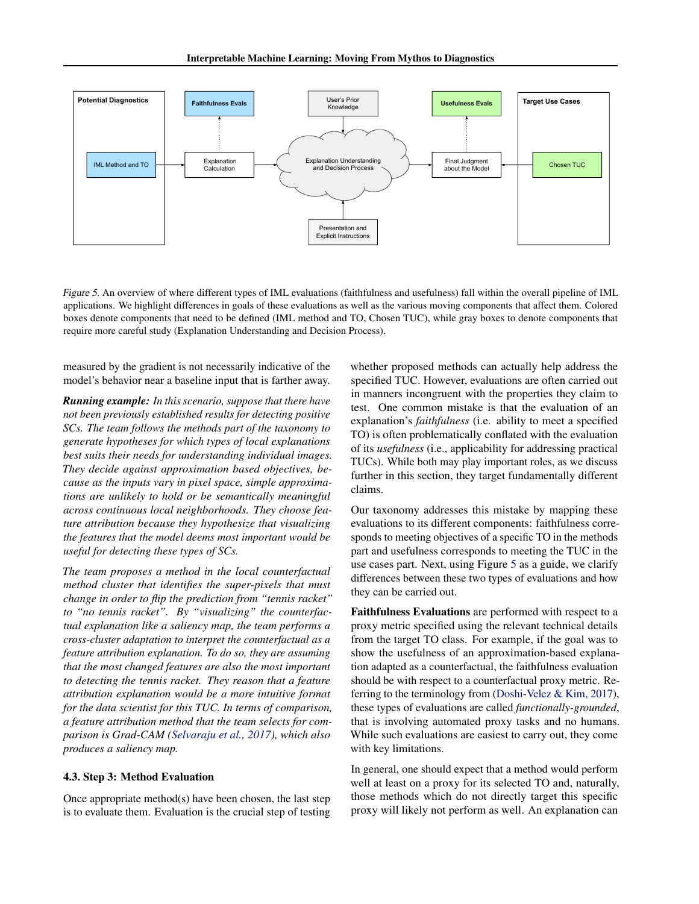<span id="page-6-0"></span>

Figure 5. An overview of where different types of IML evaluations (faithfulness and usefulness) fall within the overall pipeline of IML applications. We highlight differences in goals of these evaluations as well as the various moving components that affect them. Colored boxes denote components that need to be defined (IML method and TO, Chosen TUC), while gray boxes to denote components that require more careful study (Explanation Understanding and Decision Process).

measured by the gradient is not necessarily indicative of the model's behavior near a baseline input that is farther away.

*Running example: In this scenario, suppose that there have not been previously established results for detecting positive SCs. The team follows the methods part of the taxonomy to generate hypotheses for which types of local explanations best suits their needs for understanding individual images. They decide against approximation based objectives, because as the inputs vary in pixel space, simple approximations are unlikely to hold or be semantically meaningful across continuous local neighborhoods. They choose feature attribution because they hypothesize that visualizing the features that the model deems most important would be useful for detecting these types of SCs.*

*The team proposes a method in the local counterfactual method cluster that identifies the super-pixels that must change in order to flip the prediction from "tennis racket" to "no tennis racket". By "visualizing" the counterfactual explanation like a saliency map, the team performs a cross-cluster adaptation to interpret the counterfactual as a feature attribution explanation. To do so, they are assuming that the most changed features are also the most important to detecting the tennis racket. They reason that a feature attribution explanation would be a more intuitive format for the data scientist for this TUC. In terms of comparison, a feature attribution method that the team selects for comparison is Grad-CAM [\(Selvaraju et al.,](#page-9-0) [2017\)](#page-9-0), which also produces a saliency map.*

#### 4.3. Step 3: Method Evaluation

Once appropriate method(s) have been chosen, the last step is to evaluate them. Evaluation is the crucial step of testing whether proposed methods can actually help address the specified TUC. However, evaluations are often carried out in manners incongruent with the properties they claim to test. One common mistake is that the evaluation of an explanation's *faithfulness* (i.e. ability to meet a specified TO) is often problematically conflated with the evaluation of its *usefulness* (i.e., applicability for addressing practical TUCs). While both may play important roles, as we discuss further in this section, they target fundamentally different claims.

Our taxonomy addresses this mistake by mapping these evaluations to its different components: faithfulness corresponds to meeting objectives of a specific TO in the methods part and usefulness corresponds to meeting the TUC in the use cases part. Next, using Figure 5 as a guide, we clarify differences between these two types of evaluations and how they can be carried out.

Faithfulness Evaluations are performed with respect to a proxy metric specified using the relevant technical details from the target TO class. For example, if the goal was to show the usefulness of an approximation-based explanation adapted as a counterfactual, the faithfulness evaluation should be with respect to a counterfactual proxy metric. Referring to the terminology from [\(Doshi-Velez & Kim,](#page-8-0) [2017\)](#page-8-0), these types of evaluations are called *functionally-grounded*, that is involving automated proxy tasks and no humans. While such evaluations are easiest to carry out, they come with key limitations.

In general, one should expect that a method would perform well at least on a proxy for its selected TO and, naturally, those methods which do not directly target this specific proxy will likely not perform as well. An explanation can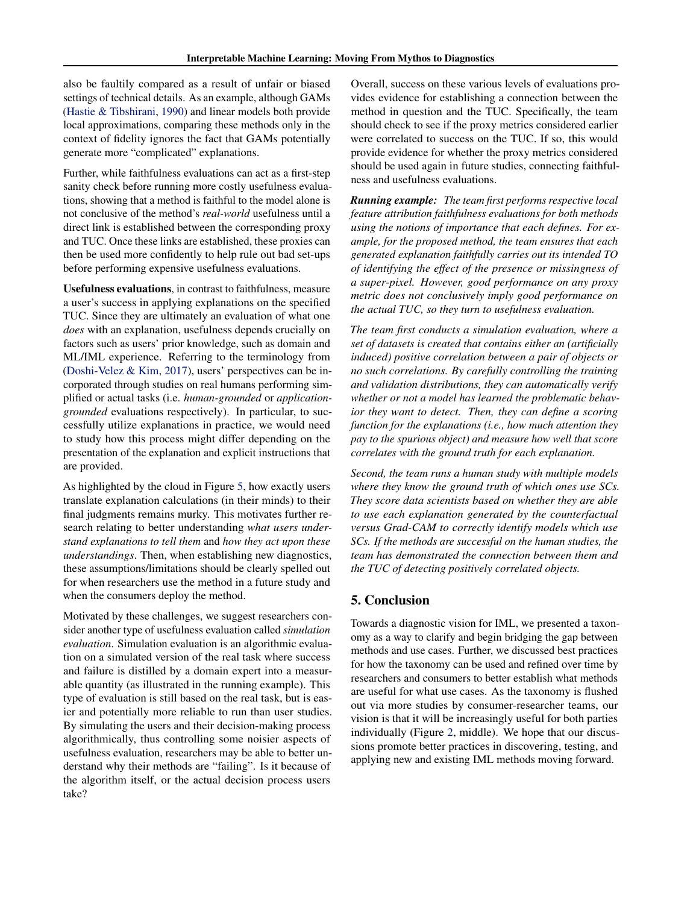also be faultily compared as a result of unfair or biased settings of technical details. As an example, although GAMs [\(Hastie & Tibshirani,](#page-8-0) [1990\)](#page-8-0) and linear models both provide local approximations, comparing these methods only in the context of fidelity ignores the fact that GAMs potentially generate more "complicated" explanations.

Further, while faithfulness evaluations can act as a first-step sanity check before running more costly usefulness evaluations, showing that a method is faithful to the model alone is not conclusive of the method's *real-world* usefulness until a direct link is established between the corresponding proxy and TUC. Once these links are established, these proxies can then be used more confidently to help rule out bad set-ups before performing expensive usefulness evaluations.

Usefulness evaluations, in contrast to faithfulness, measure a user's success in applying explanations on the specified TUC. Since they are ultimately an evaluation of what one *does* with an explanation, usefulness depends crucially on factors such as users' prior knowledge, such as domain and ML/IML experience. Referring to the terminology from [\(Doshi-Velez & Kim,](#page-8-0) [2017\)](#page-8-0), users' perspectives can be incorporated through studies on real humans performing simplified or actual tasks (i.e. *human-grounded* or *applicationgrounded* evaluations respectively). In particular, to successfully utilize explanations in practice, we would need to study how this process might differ depending on the presentation of the explanation and explicit instructions that are provided.

As highlighted by the cloud in Figure [5,](#page-6-0) how exactly users translate explanation calculations (in their minds) to their final judgments remains murky. This motivates further research relating to better understanding *what users understand explanations to tell them* and *how they act upon these understandings*. Then, when establishing new diagnostics, these assumptions/limitations should be clearly spelled out for when researchers use the method in a future study and when the consumers deploy the method.

Motivated by these challenges, we suggest researchers consider another type of usefulness evaluation called *simulation evaluation*. Simulation evaluation is an algorithmic evaluation on a simulated version of the real task where success and failure is distilled by a domain expert into a measurable quantity (as illustrated in the running example). This type of evaluation is still based on the real task, but is easier and potentially more reliable to run than user studies. By simulating the users and their decision-making process algorithmically, thus controlling some noisier aspects of usefulness evaluation, researchers may be able to better understand why their methods are "failing". Is it because of the algorithm itself, or the actual decision process users take?

Overall, success on these various levels of evaluations provides evidence for establishing a connection between the method in question and the TUC. Specifically, the team should check to see if the proxy metrics considered earlier were correlated to success on the TUC. If so, this would provide evidence for whether the proxy metrics considered should be used again in future studies, connecting faithfulness and usefulness evaluations.

*Running example: The team first performs respective local feature attribution faithfulness evaluations for both methods using the notions of importance that each defines. For example, for the proposed method, the team ensures that each generated explanation faithfully carries out its intended TO of identifying the effect of the presence or missingness of a super-pixel. However, good performance on any proxy metric does not conclusively imply good performance on the actual TUC, so they turn to usefulness evaluation.*

*The team first conducts a simulation evaluation, where a set of datasets is created that contains either an (artificially induced) positive correlation between a pair of objects or no such correlations. By carefully controlling the training and validation distributions, they can automatically verify whether or not a model has learned the problematic behavior they want to detect. Then, they can define a scoring function for the explanations (i.e., how much attention they pay to the spurious object) and measure how well that score correlates with the ground truth for each explanation.*

*Second, the team runs a human study with multiple models where they know the ground truth of which ones use SCs. They score data scientists based on whether they are able to use each explanation generated by the counterfactual versus Grad-CAM to correctly identify models which use SCs. If the methods are successful on the human studies, the team has demonstrated the connection between them and the TUC of detecting positively correlated objects.*

### 5. Conclusion

Towards a diagnostic vision for IML, we presented a taxonomy as a way to clarify and begin bridging the gap between methods and use cases. Further, we discussed best practices for how the taxonomy can be used and refined over time by researchers and consumers to better establish what methods are useful for what use cases. As the taxonomy is flushed out via more studies by consumer-researcher teams, our vision is that it will be increasingly useful for both parties individually (Figure [2,](#page-1-0) middle). We hope that our discussions promote better practices in discovering, testing, and applying new and existing IML methods moving forward.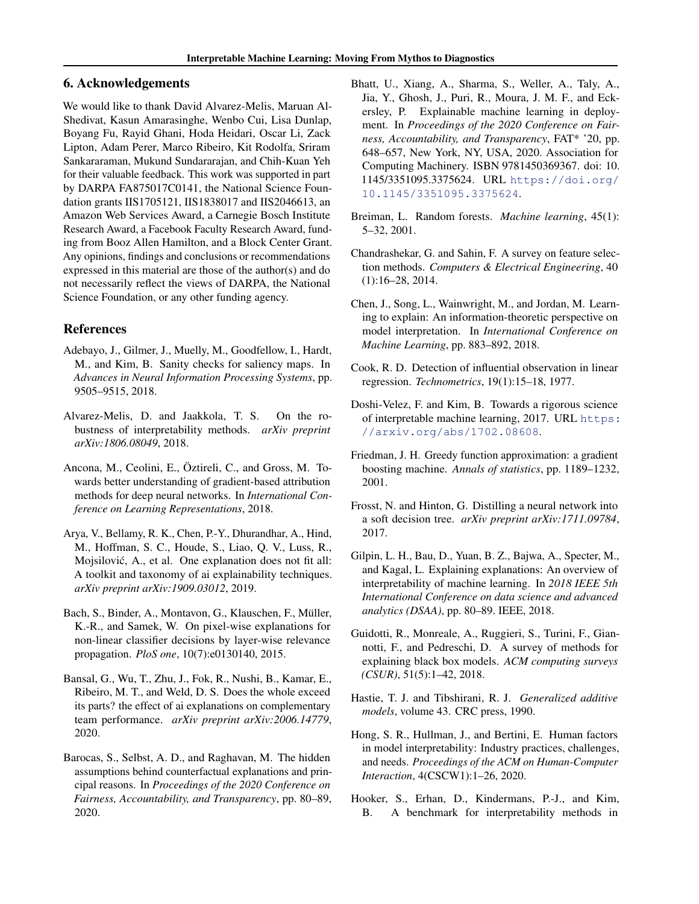### <span id="page-8-0"></span>6. Acknowledgements

We would like to thank David Alvarez-Melis, Maruan Al-Shedivat, Kasun Amarasinghe, Wenbo Cui, Lisa Dunlap, Boyang Fu, Rayid Ghani, Hoda Heidari, Oscar Li, Zack Lipton, Adam Perer, Marco Ribeiro, Kit Rodolfa, Sriram Sankararaman, Mukund Sundararajan, and Chih-Kuan Yeh for their valuable feedback. This work was supported in part by DARPA FA875017C0141, the National Science Foundation grants IIS1705121, IIS1838017 and IIS2046613, an Amazon Web Services Award, a Carnegie Bosch Institute Research Award, a Facebook Faculty Research Award, funding from Booz Allen Hamilton, and a Block Center Grant. Any opinions, findings and conclusions or recommendations expressed in this material are those of the author(s) and do not necessarily reflect the views of DARPA, the National Science Foundation, or any other funding agency.

### References

- Adebayo, J., Gilmer, J., Muelly, M., Goodfellow, I., Hardt, M., and Kim, B. Sanity checks for saliency maps. In *Advances in Neural Information Processing Systems*, pp. 9505–9515, 2018.
- Alvarez-Melis, D. and Jaakkola, T. S. On the robustness of interpretability methods. *arXiv preprint arXiv:1806.08049*, 2018.
- Ancona, M., Ceolini, E., Öztireli, C., and Gross, M. Towards better understanding of gradient-based attribution methods for deep neural networks. In *International Conference on Learning Representations*, 2018.
- Arya, V., Bellamy, R. K., Chen, P.-Y., Dhurandhar, A., Hind, M., Hoffman, S. C., Houde, S., Liao, Q. V., Luss, R., Mojsilović, A., et al. One explanation does not fit all: A toolkit and taxonomy of ai explainability techniques. *arXiv preprint arXiv:1909.03012*, 2019.
- Bach, S., Binder, A., Montavon, G., Klauschen, F., Müller, K.-R., and Samek, W. On pixel-wise explanations for non-linear classifier decisions by layer-wise relevance propagation. *PloS one*, 10(7):e0130140, 2015.
- Bansal, G., Wu, T., Zhu, J., Fok, R., Nushi, B., Kamar, E., Ribeiro, M. T., and Weld, D. S. Does the whole exceed its parts? the effect of ai explanations on complementary team performance. *arXiv preprint arXiv:2006.14779*, 2020.
- Barocas, S., Selbst, A. D., and Raghavan, M. The hidden assumptions behind counterfactual explanations and principal reasons. In *Proceedings of the 2020 Conference on Fairness, Accountability, and Transparency*, pp. 80–89, 2020.
- Bhatt, U., Xiang, A., Sharma, S., Weller, A., Taly, A., Jia, Y., Ghosh, J., Puri, R., Moura, J. M. F., and Eckersley, P. Explainable machine learning in deployment. In *Proceedings of the 2020 Conference on Fairness, Accountability, and Transparency*, FAT\* '20, pp. 648–657, New York, NY, USA, 2020. Association for Computing Machinery. ISBN 9781450369367. doi: 10. 1145/3351095.3375624. URL [https://doi.org/](https://doi.org/10.1145/3351095.3375624) [10.1145/3351095.3375624](https://doi.org/10.1145/3351095.3375624).
- Breiman, L. Random forests. *Machine learning*, 45(1): 5–32, 2001.
- Chandrashekar, G. and Sahin, F. A survey on feature selection methods. *Computers & Electrical Engineering*, 40 (1):16–28, 2014.
- Chen, J., Song, L., Wainwright, M., and Jordan, M. Learning to explain: An information-theoretic perspective on model interpretation. In *International Conference on Machine Learning*, pp. 883–892, 2018.
- Cook, R. D. Detection of influential observation in linear regression. *Technometrics*, 19(1):15–18, 1977.
- Doshi-Velez, F. and Kim, B. Towards a rigorous science of interpretable machine learning, 2017. URL [https:](https://arxiv.org/abs/1702.08608) [//arxiv.org/abs/1702.08608](https://arxiv.org/abs/1702.08608).
- Friedman, J. H. Greedy function approximation: a gradient boosting machine. *Annals of statistics*, pp. 1189–1232, 2001.
- Frosst, N. and Hinton, G. Distilling a neural network into a soft decision tree. *arXiv preprint arXiv:1711.09784*, 2017.
- Gilpin, L. H., Bau, D., Yuan, B. Z., Bajwa, A., Specter, M., and Kagal, L. Explaining explanations: An overview of interpretability of machine learning. In *2018 IEEE 5th International Conference on data science and advanced analytics (DSAA)*, pp. 80–89. IEEE, 2018.
- Guidotti, R., Monreale, A., Ruggieri, S., Turini, F., Giannotti, F., and Pedreschi, D. A survey of methods for explaining black box models. *ACM computing surveys (CSUR)*, 51(5):1–42, 2018.
- Hastie, T. J. and Tibshirani, R. J. *Generalized additive models*, volume 43. CRC press, 1990.
- Hong, S. R., Hullman, J., and Bertini, E. Human factors in model interpretability: Industry practices, challenges, and needs. *Proceedings of the ACM on Human-Computer Interaction*, 4(CSCW1):1–26, 2020.
- Hooker, S., Erhan, D., Kindermans, P.-J., and Kim, B. A benchmark for interpretability methods in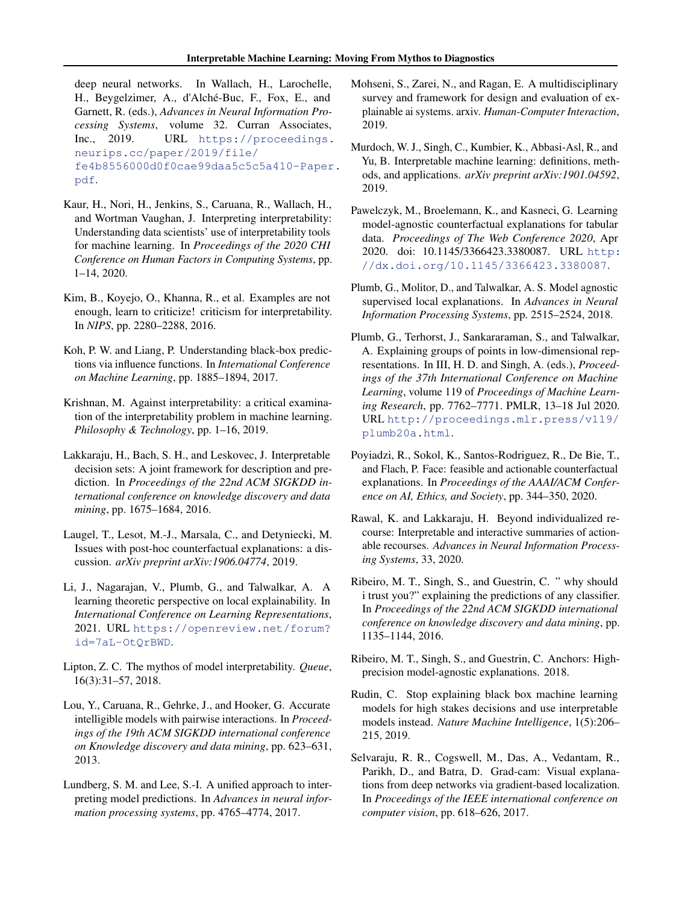<span id="page-9-0"></span>deep neural networks. In Wallach, H., Larochelle, H., Beygelzimer, A., d'Alché-Buc, F., Fox, E., and Garnett, R. (eds.), *Advances in Neural Information Processing Systems*, volume 32. Curran Associates, Inc., 2019. URL [https://proceedings.](https://proceedings.neurips.cc/paper/2019/file/fe4b8556000d0f0cae99daa5c5c5a410-Paper.pdf) [neurips.cc/paper/2019/file/](https://proceedings.neurips.cc/paper/2019/file/fe4b8556000d0f0cae99daa5c5c5a410-Paper.pdf) [fe4b8556000d0f0cae99daa5c5c5a410-Paper](https://proceedings.neurips.cc/paper/2019/file/fe4b8556000d0f0cae99daa5c5c5a410-Paper.pdf). [pdf](https://proceedings.neurips.cc/paper/2019/file/fe4b8556000d0f0cae99daa5c5c5a410-Paper.pdf).

- Kaur, H., Nori, H., Jenkins, S., Caruana, R., Wallach, H., and Wortman Vaughan, J. Interpreting interpretability: Understanding data scientists' use of interpretability tools for machine learning. In *Proceedings of the 2020 CHI Conference on Human Factors in Computing Systems*, pp. 1–14, 2020.
- Kim, B., Koyejo, O., Khanna, R., et al. Examples are not enough, learn to criticize! criticism for interpretability. In *NIPS*, pp. 2280–2288, 2016.
- Koh, P. W. and Liang, P. Understanding black-box predictions via influence functions. In *International Conference on Machine Learning*, pp. 1885–1894, 2017.
- Krishnan, M. Against interpretability: a critical examination of the interpretability problem in machine learning. *Philosophy & Technology*, pp. 1–16, 2019.
- Lakkaraju, H., Bach, S. H., and Leskovec, J. Interpretable decision sets: A joint framework for description and prediction. In *Proceedings of the 22nd ACM SIGKDD international conference on knowledge discovery and data mining*, pp. 1675–1684, 2016.
- Laugel, T., Lesot, M.-J., Marsala, C., and Detyniecki, M. Issues with post-hoc counterfactual explanations: a discussion. *arXiv preprint arXiv:1906.04774*, 2019.
- Li, J., Nagarajan, V., Plumb, G., and Talwalkar, A. A learning theoretic perspective on local explainability. In *International Conference on Learning Representations*, 2021. URL [https://openreview.net/forum?](https://openreview.net/forum?id=7aL-OtQrBWD) [id=7aL-OtQrBWD](https://openreview.net/forum?id=7aL-OtQrBWD).
- Lipton, Z. C. The mythos of model interpretability. *Queue*, 16(3):31–57, 2018.
- Lou, Y., Caruana, R., Gehrke, J., and Hooker, G. Accurate intelligible models with pairwise interactions. In *Proceedings of the 19th ACM SIGKDD international conference on Knowledge discovery and data mining*, pp. 623–631, 2013.
- Lundberg, S. M. and Lee, S.-I. A unified approach to interpreting model predictions. In *Advances in neural information processing systems*, pp. 4765–4774, 2017.
- Mohseni, S., Zarei, N., and Ragan, E. A multidisciplinary survey and framework for design and evaluation of explainable ai systems. arxiv. *Human-Computer Interaction*, 2019.
- Murdoch, W. J., Singh, C., Kumbier, K., Abbasi-Asl, R., and Yu, B. Interpretable machine learning: definitions, methods, and applications. *arXiv preprint arXiv:1901.04592*, 2019.
- Pawelczyk, M., Broelemann, K., and Kasneci, G. Learning model-agnostic counterfactual explanations for tabular data. *Proceedings of The Web Conference 2020*, Apr 2020. doi: 10.1145/3366423.3380087. URL [http:](http://dx.doi.org/10.1145/3366423.3380087) [//dx.doi.org/10.1145/3366423.3380087](http://dx.doi.org/10.1145/3366423.3380087).
- Plumb, G., Molitor, D., and Talwalkar, A. S. Model agnostic supervised local explanations. In *Advances in Neural Information Processing Systems*, pp. 2515–2524, 2018.
- Plumb, G., Terhorst, J., Sankararaman, S., and Talwalkar, A. Explaining groups of points in low-dimensional representations. In III, H. D. and Singh, A. (eds.), *Proceedings of the 37th International Conference on Machine Learning*, volume 119 of *Proceedings of Machine Learning Research*, pp. 7762–7771. PMLR, 13–18 Jul 2020. URL [http://proceedings.mlr.press/v119/](http://proceedings.mlr.press/v119/plumb20a.html) [plumb20a.html](http://proceedings.mlr.press/v119/plumb20a.html).
- Poyiadzi, R., Sokol, K., Santos-Rodriguez, R., De Bie, T., and Flach, P. Face: feasible and actionable counterfactual explanations. In *Proceedings of the AAAI/ACM Conference on AI, Ethics, and Society*, pp. 344–350, 2020.
- Rawal, K. and Lakkaraju, H. Beyond individualized recourse: Interpretable and interactive summaries of actionable recourses. *Advances in Neural Information Processing Systems*, 33, 2020.
- Ribeiro, M. T., Singh, S., and Guestrin, C. " why should i trust you?" explaining the predictions of any classifier. In *Proceedings of the 22nd ACM SIGKDD international conference on knowledge discovery and data mining*, pp. 1135–1144, 2016.
- Ribeiro, M. T., Singh, S., and Guestrin, C. Anchors: Highprecision model-agnostic explanations. 2018.
- Rudin, C. Stop explaining black box machine learning models for high stakes decisions and use interpretable models instead. *Nature Machine Intelligence*, 1(5):206– 215, 2019.
- Selvaraju, R. R., Cogswell, M., Das, A., Vedantam, R., Parikh, D., and Batra, D. Grad-cam: Visual explanations from deep networks via gradient-based localization. In *Proceedings of the IEEE international conference on computer vision*, pp. 618–626, 2017.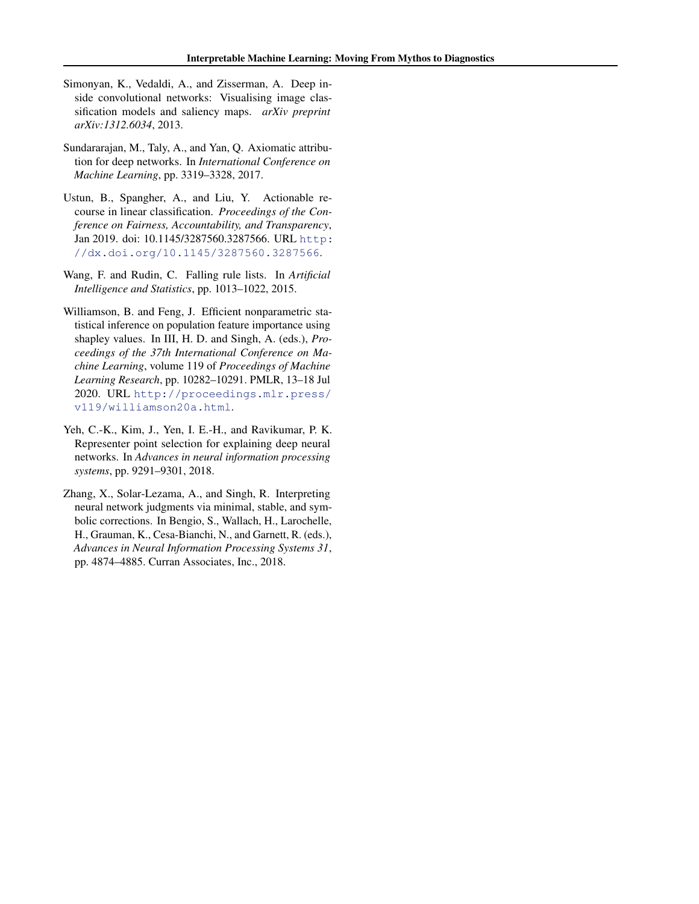- <span id="page-10-0"></span>Simonyan, K., Vedaldi, A., and Zisserman, A. Deep inside convolutional networks: Visualising image classification models and saliency maps. *arXiv preprint arXiv:1312.6034*, 2013.
- Sundararajan, M., Taly, A., and Yan, Q. Axiomatic attribution for deep networks. In *International Conference on Machine Learning*, pp. 3319–3328, 2017.
- Ustun, B., Spangher, A., and Liu, Y. Actionable recourse in linear classification. *Proceedings of the Conference on Fairness, Accountability, and Transparency*, Jan 2019. doi: 10.1145/3287560.3287566. URL [http:](http://dx.doi.org/10.1145/3287560.3287566) [//dx.doi.org/10.1145/3287560.3287566](http://dx.doi.org/10.1145/3287560.3287566).
- Wang, F. and Rudin, C. Falling rule lists. In *Artificial Intelligence and Statistics*, pp. 1013–1022, 2015.
- Williamson, B. and Feng, J. Efficient nonparametric statistical inference on population feature importance using shapley values. In III, H. D. and Singh, A. (eds.), *Proceedings of the 37th International Conference on Machine Learning*, volume 119 of *Proceedings of Machine Learning Research*, pp. 10282–10291. PMLR, 13–18 Jul 2020. URL [http://proceedings.mlr.press/](http://proceedings.mlr.press/v119/williamson20a.html) [v119/williamson20a.html](http://proceedings.mlr.press/v119/williamson20a.html).
- Yeh, C.-K., Kim, J., Yen, I. E.-H., and Ravikumar, P. K. Representer point selection for explaining deep neural networks. In *Advances in neural information processing systems*, pp. 9291–9301, 2018.
- Zhang, X., Solar-Lezama, A., and Singh, R. Interpreting neural network judgments via minimal, stable, and symbolic corrections. In Bengio, S., Wallach, H., Larochelle, H., Grauman, K., Cesa-Bianchi, N., and Garnett, R. (eds.), *Advances in Neural Information Processing Systems 31*, pp. 4874–4885. Curran Associates, Inc., 2018.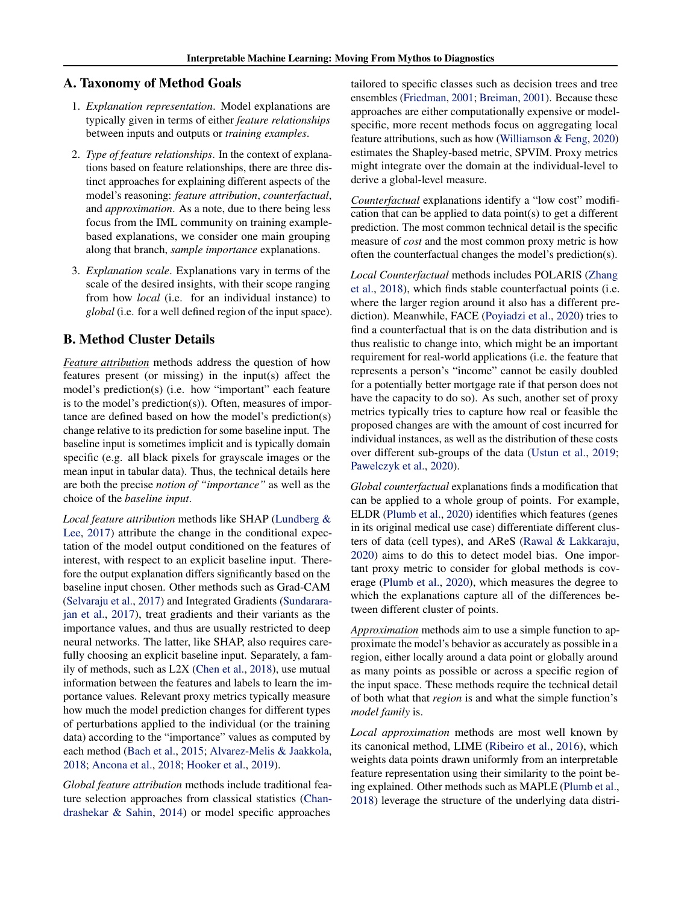### <span id="page-11-0"></span>A. Taxonomy of Method Goals

- 1. *Explanation representation*. Model explanations are typically given in terms of either *feature relationships* between inputs and outputs or *training examples*.
- 2. *Type of feature relationships*. In the context of explanations based on feature relationships, there are three distinct approaches for explaining different aspects of the model's reasoning: *feature attribution*, *counterfactual*, and *approximation*. As a note, due to there being less focus from the IML community on training examplebased explanations, we consider one main grouping along that branch, *sample importance* explanations.
- 3. *Explanation scale*. Explanations vary in terms of the scale of the desired insights, with their scope ranging from how *local* (i.e. for an individual instance) to *global* (i.e. for a well defined region of the input space).

### B. Method Cluster Details

*Feature attribution* methods address the question of how features present (or missing) in the input(s) affect the model's prediction(s) (i.e. how "important" each feature is to the model's prediction(s)). Often, measures of importance are defined based on how the model's prediction(s) change relative to its prediction for some baseline input. The baseline input is sometimes implicit and is typically domain specific (e.g. all black pixels for grayscale images or the mean input in tabular data). Thus, the technical details here are both the precise *notion of "importance"* as well as the choice of the *baseline input*.

*Local feature attribution* methods like SHAP [\(Lundberg &](#page-9-0) [Lee,](#page-9-0) [2017\)](#page-9-0) attribute the change in the conditional expectation of the model output conditioned on the features of interest, with respect to an explicit baseline input. Therefore the output explanation differs significantly based on the baseline input chosen. Other methods such as Grad-CAM [\(Selvaraju et al.,](#page-9-0) [2017\)](#page-9-0) and Integrated Gradients [\(Sundarara](#page-10-0)[jan et al.,](#page-10-0) [2017\)](#page-10-0), treat gradients and their variants as the importance values, and thus are usually restricted to deep neural networks. The latter, like SHAP, also requires carefully choosing an explicit baseline input. Separately, a family of methods, such as L2X [\(Chen et al.,](#page-8-0) [2018\)](#page-8-0), use mutual information between the features and labels to learn the importance values. Relevant proxy metrics typically measure how much the model prediction changes for different types of perturbations applied to the individual (or the training data) according to the "importance" values as computed by each method [\(Bach et al.,](#page-8-0) [2015;](#page-8-0) [Alvarez-Melis & Jaakkola,](#page-8-0) [2018;](#page-8-0) [Ancona et al.,](#page-8-0) [2018;](#page-8-0) [Hooker et al.,](#page-8-0) [2019\)](#page-8-0).

*Global feature attribution* methods include traditional feature selection approaches from classical statistics [\(Chan](#page-8-0)[drashekar & Sahin,](#page-8-0) [2014\)](#page-8-0) or model specific approaches

tailored to specific classes such as decision trees and tree ensembles [\(Friedman,](#page-8-0) [2001;](#page-8-0) [Breiman,](#page-8-0) [2001\)](#page-8-0). Because these approaches are either computationally expensive or modelspecific, more recent methods focus on aggregating local feature attributions, such as how [\(Williamson & Feng,](#page-10-0) [2020\)](#page-10-0) estimates the Shapley-based metric, SPVIM. Proxy metrics might integrate over the domain at the individual-level to derive a global-level measure.

*Counterfactual* explanations identify a "low cost" modification that can be applied to data point(s) to get a different prediction. The most common technical detail is the specific measure of *cost* and the most common proxy metric is how often the counterfactual changes the model's prediction(s).

*Local Counterfactual* methods includes POLARIS [\(Zhang](#page-10-0) [et al.,](#page-10-0) [2018\)](#page-10-0), which finds stable counterfactual points (i.e. where the larger region around it also has a different prediction). Meanwhile, FACE [\(Poyiadzi et al.,](#page-9-0) [2020\)](#page-9-0) tries to find a counterfactual that is on the data distribution and is thus realistic to change into, which might be an important requirement for real-world applications (i.e. the feature that represents a person's "income" cannot be easily doubled for a potentially better mortgage rate if that person does not have the capacity to do so). As such, another set of proxy metrics typically tries to capture how real or feasible the proposed changes are with the amount of cost incurred for individual instances, as well as the distribution of these costs over different sub-groups of the data [\(Ustun et al.,](#page-10-0) [2019;](#page-10-0) [Pawelczyk et al.,](#page-9-0) [2020\)](#page-9-0).

*Global counterfactual* explanations finds a modification that can be applied to a whole group of points. For example, ELDR [\(Plumb et al.,](#page-9-0) [2020\)](#page-9-0) identifies which features (genes in its original medical use case) differentiate different clusters of data (cell types), and AReS [\(Rawal & Lakkaraju,](#page-9-0) [2020\)](#page-9-0) aims to do this to detect model bias. One important proxy metric to consider for global methods is coverage [\(Plumb et al.,](#page-9-0) [2020\)](#page-9-0), which measures the degree to which the explanations capture all of the differences between different cluster of points.

*Approximation* methods aim to use a simple function to approximate the model's behavior as accurately as possible in a region, either locally around a data point or globally around as many points as possible or across a specific region of the input space. These methods require the technical detail of both what that *region* is and what the simple function's *model family* is.

*Local approximation* methods are most well known by its canonical method, LIME [\(Ribeiro et al.,](#page-9-0) [2016\)](#page-9-0), which weights data points drawn uniformly from an interpretable feature representation using their similarity to the point being explained. Other methods such as MAPLE [\(Plumb et al.,](#page-9-0) [2018\)](#page-9-0) leverage the structure of the underlying data distri